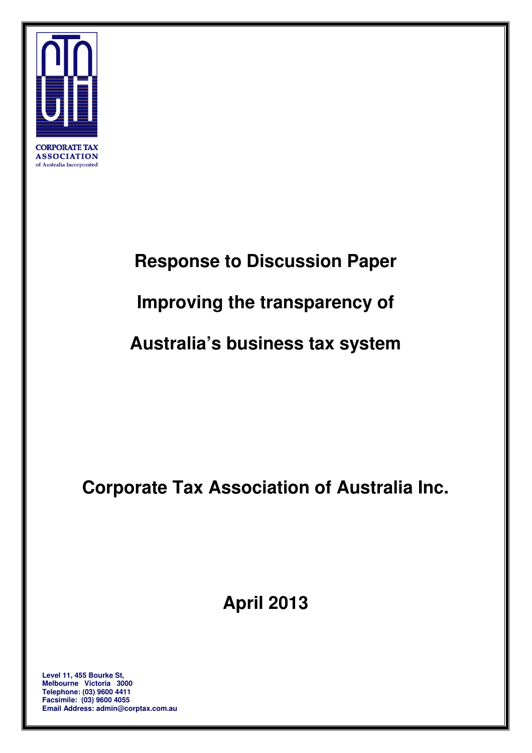

**CORPORATE TAX ASSOCIATION** of Australia Incorporated

## **Response to Discussion Paper**

# **Improving the transparency of**

 **Australia's business tax system** 

 **Corporate Tax Association of Australia Inc.** 

 **April 2013** 

 **Level 11, 455 Bourke St, Facsimile: (03) 9600 4055 Melbourne Victoria 3000 Telephone: (03) 9600 4411 Email Address: admin@corptax.com.au**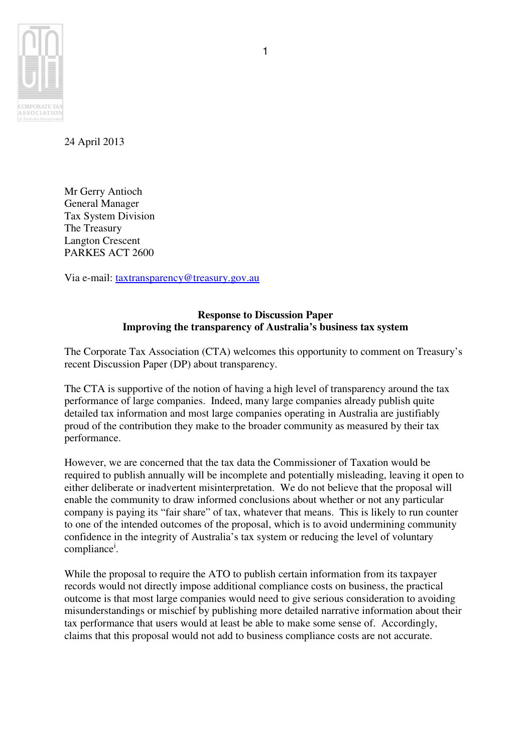

24 April 2013

 Mr Gerry Antioch General Manager Tax System Division The Treasury Langton Crescent PARKES ACT 2600

Via e-mail: taxtransparency@treasury.gov.au

## **Response to Discussion Paper Improving the transparency of Australia's business tax system**

 The Corporate Tax Association (CTA) welcomes this opportunity to comment on Treasury's recent Discussion Paper (DP) about transparency.

 The CTA is supportive of the notion of having a high level of transparency around the tax performance of large companies. Indeed, many large companies already publish quite detailed tax information and most large companies operating in Australia are justifiably proud of the contribution they make to the broader community as measured by their tax performance.

 However, we are concerned that the tax data the Commissioner of Taxation would be required to publish annually will be incomplete and potentially misleading, leaving it open to either deliberate or inadvertent misinterpretation. We do not believe that the proposal will enable the community to draw informed conclusions about whether or not any particular company is paying its "fair share" of tax, whatever that means. This is likely to run counter to one of the intended outcomes of the proposal, which is to avoid undermining community confidence in the integrity of Australia's tax system or reducing the level of voluntary compliance<sup>i</sup>.

 While the proposal to require the ATO to publish certain information from its taxpayer records would not directly impose additional compliance costs on business, the practical outcome is that most large companies would need to give serious consideration to avoiding misunderstandings or mischief by publishing more detailed narrative information about their tax performance that users would at least be able to make some sense of. Accordingly, claims that this proposal would not add to business compliance costs are not accurate.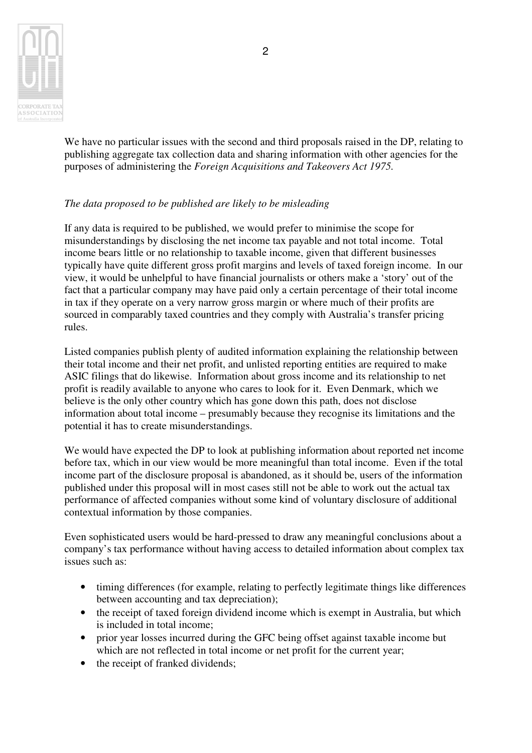

 We have no particular issues with the second and third proposals raised in the DP, relating to publishing aggregate tax collection data and sharing information with other agencies for the purposes of administering the *Foreign Acquisitions and Takeovers Act 1975.* 

#### *The data proposed to be published are likely to be misleading*

 If any data is required to be published, we would prefer to minimise the scope for misunderstandings by disclosing the net income tax payable and not total income. Total income bears little or no relationship to taxable income, given that different businesses typically have quite different gross profit margins and levels of taxed foreign income. In our view, it would be unhelpful to have financial journalists or others make a 'story' out of the fact that a particular company may have paid only a certain percentage of their total income in tax if they operate on a very narrow gross margin or where much of their profits are sourced in comparably taxed countries and they comply with Australia's transfer pricing rules.

 Listed companies publish plenty of audited information explaining the relationship between their total income and their net profit, and unlisted reporting entities are required to make ASIC filings that do likewise. Information about gross income and its relationship to net profit is readily available to anyone who cares to look for it. Even Denmark, which we believe is the only other country which has gone down this path, does not disclose information about total income – presumably because they recognise its limitations and the potential it has to create misunderstandings.

 We would have expected the DP to look at publishing information about reported net income before tax, which in our view would be more meaningful than total income. Even if the total income part of the disclosure proposal is abandoned, as it should be, users of the information published under this proposal will in most cases still not be able to work out the actual tax performance of affected companies without some kind of voluntary disclosure of additional contextual information by those companies.

 Even sophisticated users would be hard-pressed to draw any meaningful conclusions about a company's tax performance without having access to detailed information about complex tax issues such as:

- • timing differences (for example, relating to perfectly legitimate things like differences between accounting and tax depreciation);
- the receipt of taxed foreign dividend income which is exempt in Australia, but which is included in total income;
- prior year losses incurred during the GFC being offset against taxable income but which are not reflected in total income or net profit for the current year;
- the receipt of franked dividends;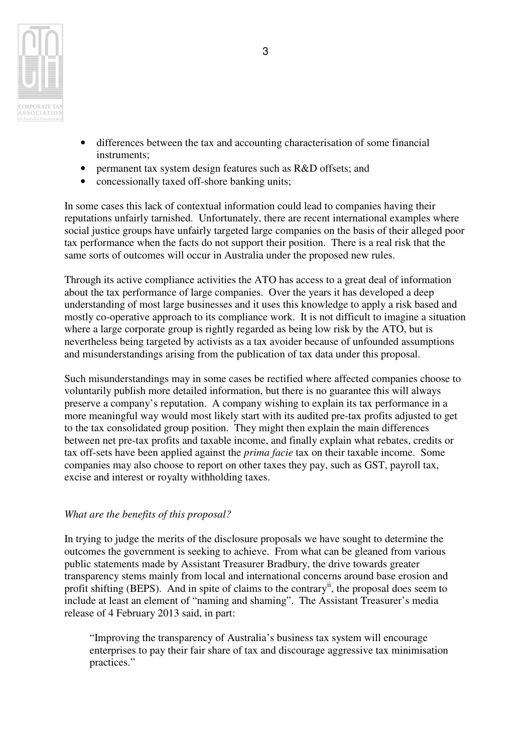

- • differences between the tax and accounting characterisation of some financial instruments;
- permanent tax system design features such as R&D offsets; and
- concessionally taxed off-shore banking units;

 In some cases this lack of contextual information could lead to companies having their reputations unfairly tarnished. Unfortunately, there are recent international examples where social justice groups have unfairly targeted large companies on the basis of their alleged poor tax performance when the facts do not support their position. There is a real risk that the same sorts of outcomes will occur in Australia under the proposed new rules.

 Through its active compliance activities the ATO has access to a great deal of information about the tax performance of large companies. Over the years it has developed a deep understanding of most large businesses and it uses this knowledge to apply a risk based and mostly co-operative approach to its compliance work. It is not difficult to imagine a situation where a large corporate group is rightly regarded as being low risk by the ATO, but is nevertheless being targeted by activists as a tax avoider because of unfounded assumptions and misunderstandings arising from the publication of tax data under this proposal.

 Such misunderstandings may in some cases be rectified where affected companies choose to voluntarily publish more detailed information, but there is no guarantee this will always preserve a company's reputation. A company wishing to explain its tax performance in a more meaningful way would most likely start with its audited pre-tax profits adjusted to get to the tax consolidated group position. They might then explain the main differences between net pre-tax profits and taxable income, and finally explain what rebates, credits or tax off-sets have been applied against the *prima facie* tax on their taxable income. Some companies may also choose to report on other taxes they pay, such as GST, payroll tax, excise and interest or royalty withholding taxes.

#### *What are the benefits of this proposal?*

 In trying to judge the merits of the disclosure proposals we have sought to determine the outcomes the government is seeking to achieve. From what can be gleaned from various public statements made by Assistant Treasurer Bradbury, the drive towards greater transparency stems mainly from local and international concerns around base erosion and profit shifting (BEPS). And in spite of claims to the contrary<sup>ii</sup>, the proposal does seem to include at least an element of "naming and shaming". The Assistant Treasurer's media release of 4 February 2013 said, in part:

 "Improving the transparency of Australia's business tax system will encourage enterprises to pay their fair share of tax and discourage aggressive tax minimisation practices."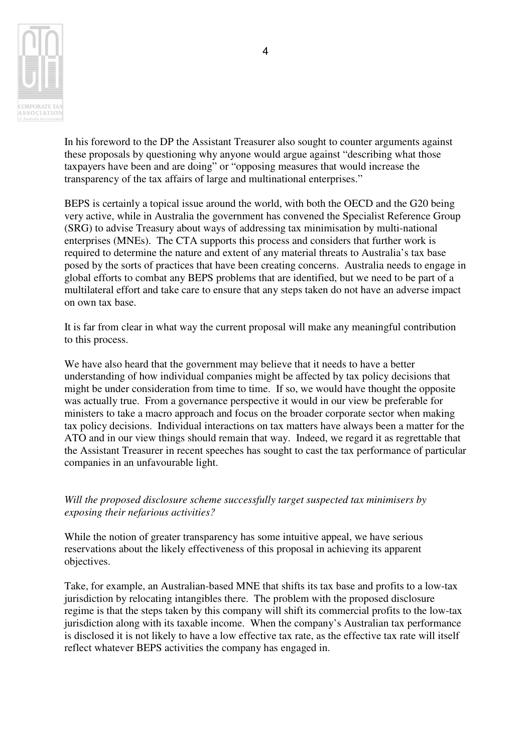

 In his foreword to the DP the Assistant Treasurer also sought to counter arguments against these proposals by questioning why anyone would argue against "describing what those taxpayers have been and are doing" or "opposing measures that would increase the transparency of the tax affairs of large and multinational enterprises."

 BEPS is certainly a topical issue around the world, with both the OECD and the G20 being very active, while in Australia the government has convened the Specialist Reference Group (SRG) to advise Treasury about ways of addressing tax minimisation by multi-national enterprises (MNEs). The CTA supports this process and considers that further work is required to determine the nature and extent of any material threats to Australia's tax base posed by the sorts of practices that have been creating concerns. Australia needs to engage in global efforts to combat any BEPS problems that are identified, but we need to be part of a multilateral effort and take care to ensure that any steps taken do not have an adverse impact on own tax base.

 It is far from clear in what way the current proposal will make any meaningful contribution to this process.

 We have also heard that the government may believe that it needs to have a better understanding of how individual companies might be affected by tax policy decisions that might be under consideration from time to time. If so, we would have thought the opposite was actually true. From a governance perspective it would in our view be preferable for ministers to take a macro approach and focus on the broader corporate sector when making tax policy decisions. Individual interactions on tax matters have always been a matter for the ATO and in our view things should remain that way. Indeed, we regard it as regrettable that the Assistant Treasurer in recent speeches has sought to cast the tax performance of particular companies in an unfavourable light.

 *Will the proposed disclosure scheme successfully target suspected tax minimisers by exposing their nefarious activities?* 

 While the notion of greater transparency has some intuitive appeal, we have serious reservations about the likely effectiveness of this proposal in achieving its apparent objectives.

 Take, for example, an Australian-based MNE that shifts its tax base and profits to a low-tax jurisdiction by relocating intangibles there. The problem with the proposed disclosure regime is that the steps taken by this company will shift its commercial profits to the low-tax jurisdiction along with its taxable income. When the company's Australian tax performance is disclosed it is not likely to have a low effective tax rate, as the effective tax rate will itself reflect whatever BEPS activities the company has engaged in.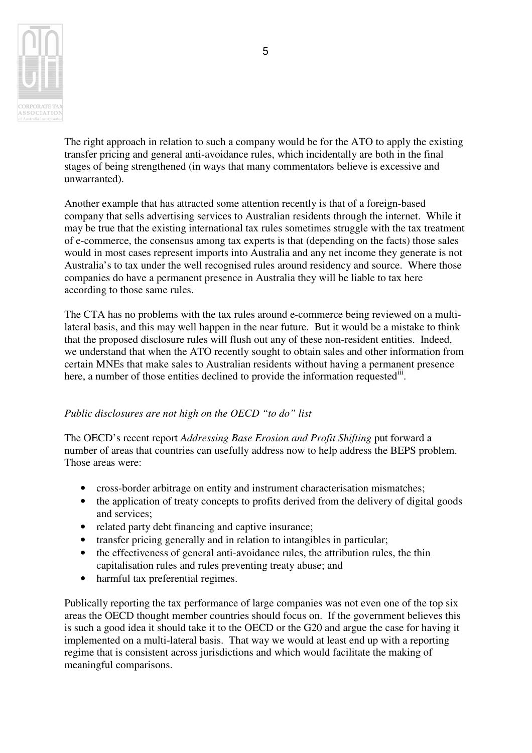

 The right approach in relation to such a company would be for the ATO to apply the existing transfer pricing and general anti-avoidance rules, which incidentally are both in the final stages of being strengthened (in ways that many commentators believe is excessive and unwarranted).

 Another example that has attracted some attention recently is that of a foreign-based company that sells advertising services to Australian residents through the internet. While it may be true that the existing international tax rules sometimes struggle with the tax treatment of e-commerce, the consensus among tax experts is that (depending on the facts) those sales would in most cases represent imports into Australia and any net income they generate is not Australia's to tax under the well recognised rules around residency and source. Where those companies do have a permanent presence in Australia they will be liable to tax here according to those same rules.

 The CTA has no problems with the tax rules around e-commerce being reviewed on a multi- lateral basis, and this may well happen in the near future. But it would be a mistake to think that the proposed disclosure rules will flush out any of these non-resident entities. Indeed, we understand that when the ATO recently sought to obtain sales and other information from certain MNEs that make sales to Australian residents without having a permanent presence here, a number of those entities declined to provide the information requested<sup>iii</sup>.

### *Public disclosures are not high on the OECD "to do" list*

 The OECD's recent report *Addressing Base Erosion and Profit Shifting* put forward a number of areas that countries can usefully address now to help address the BEPS problem. Those areas were:

- cross-border arbitrage on entity and instrument characterisation mismatches;
- the application of treaty concepts to profits derived from the delivery of digital goods and services;
- related party debt financing and captive insurance;
- • transfer pricing generally and in relation to intangibles in particular;
- the effectiveness of general anti-avoidance rules, the attribution rules, the thin capitalisation rules and rules preventing treaty abuse; and
- harmful tax preferential regimes.

 Publically reporting the tax performance of large companies was not even one of the top six areas the OECD thought member countries should focus on. If the government believes this is such a good idea it should take it to the OECD or the G20 and argue the case for having it implemented on a multi-lateral basis. That way we would at least end up with a reporting regime that is consistent across jurisdictions and which would facilitate the making of meaningful comparisons.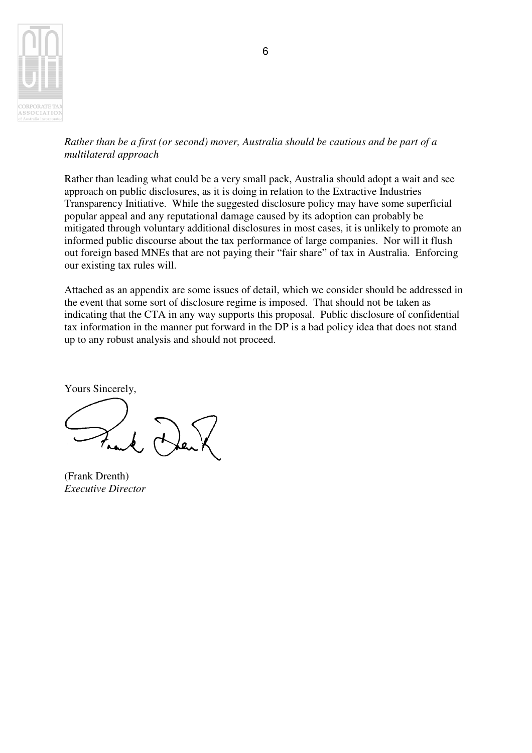

 *Rather than be a first (or second) mover, Australia should be cautious and be part of a multilateral approach* 

 Rather than leading what could be a very small pack, Australia should adopt a wait and see approach on public disclosures, as it is doing in relation to the Extractive Industries Transparency Initiative. While the suggested disclosure policy may have some superficial popular appeal and any reputational damage caused by its adoption can probably be mitigated through voluntary additional disclosures in most cases, it is unlikely to promote an informed public discourse about the tax performance of large companies. Nor will it flush out foreign based MNEs that are not paying their "fair share" of tax in Australia. Enforcing our existing tax rules will.

 Attached as an appendix are some issues of detail, which we consider should be addressed in the event that some sort of disclosure regime is imposed. That should not be taken as indicating that the CTA in any way supports this proposal. Public disclosure of confidential tax information in the manner put forward in the DP is a bad policy idea that does not stand up to any robust analysis and should not proceed.

Yours Sincerely,

 (Frank Drenth)  *Executive Director*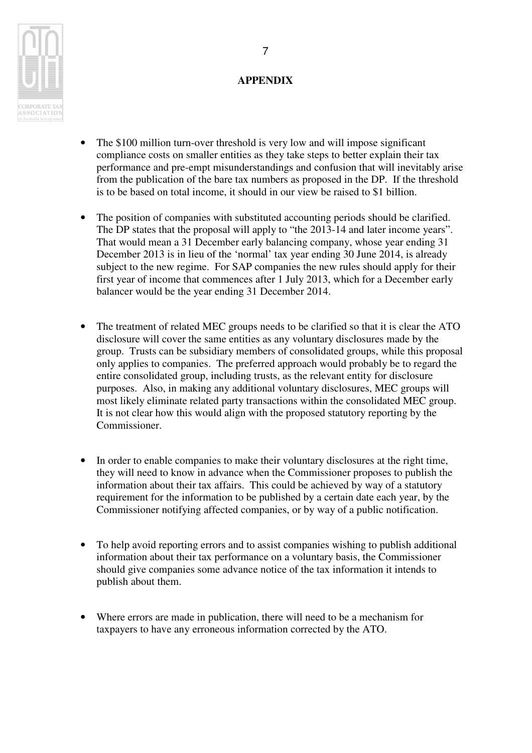

## **APPENDIX**

- The \$100 million turn-over threshold is very low and will impose significant compliance costs on smaller entities as they take steps to better explain their tax performance and pre-empt misunderstandings and confusion that will inevitably arise from the publication of the bare tax numbers as proposed in the DP. If the threshold is to be based on total income, it should in our view be raised to \$1 billion.
- The position of companies with substituted accounting periods should be clarified. The DP states that the proposal will apply to "the 2013-14 and later income years". That would mean a 31 December early balancing company, whose year ending 31 December 2013 is in lieu of the 'normal' tax year ending 30 June 2014, is already subject to the new regime. For SAP companies the new rules should apply for their first year of income that commences after 1 July 2013, which for a December early balancer would be the year ending 31 December 2014.
- The treatment of related MEC groups needs to be clarified so that it is clear the ATO disclosure will cover the same entities as any voluntary disclosures made by the group. Trusts can be subsidiary members of consolidated groups, while this proposal only applies to companies. The preferred approach would probably be to regard the entire consolidated group, including trusts, as the relevant entity for disclosure purposes. Also, in making any additional voluntary disclosures, MEC groups will most likely eliminate related party transactions within the consolidated MEC group. It is not clear how this would align with the proposed statutory reporting by the Commissioner.
- In order to enable companies to make their voluntary disclosures at the right time, they will need to know in advance when the Commissioner proposes to publish the information about their tax affairs. This could be achieved by way of a statutory requirement for the information to be published by a certain date each year, by the Commissioner notifying affected companies, or by way of a public notification.
- • To help avoid reporting errors and to assist companies wishing to publish additional information about their tax performance on a voluntary basis, the Commissioner should give companies some advance notice of the tax information it intends to publish about them.
- Where errors are made in publication, there will need to be a mechanism for taxpayers to have any erroneous information corrected by the ATO.